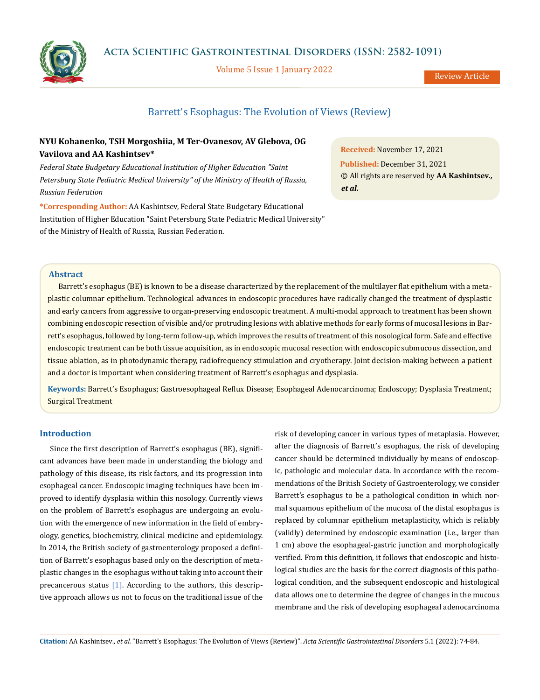

Volume 5 Issue 1 January 2022

Review Article

# Barrett's Esophagus: The Evolution of Views (Review)

## **NYU Kohanenko, TSH Morgoshiia, M Ter-Ovanesov, AV Glebova, OG Vavilova and AA Kashintsev\***

*Federal State Budgetary Educational Institution of Higher Education "Saint Petersburg State Pediatric Medical University" of the Ministry of Health of Russia, Russian Federation*

**\*Corresponding Author:** AA Kashintsev, Federal State Budgetary Educational Institution of Higher Education "Saint Petersburg State Pediatric Medical University" of the Ministry of Health of Russia, Russian Federation.

**Received:** November 17, 2021 **Published:** December 31, 2021 © All rights are reserved by **AA Kashintsev***., et al.*

### **Abstract**

Barrett's esophagus (BE) is known to be a disease characterized by the replacement of the multilayer flat epithelium with a metaplastic columnar epithelium. Technological advances in endoscopic procedures have radically changed the treatment of dysplastic and early cancers from aggressive to organ-preserving endoscopic treatment. A multi-modal approach to treatment has been shown combining endoscopic resection of visible and/or protruding lesions with ablative methods for early forms of mucosal lesions in Barrett's esophagus, followed by long-term follow-up, which improves the results of treatment of this nosological form. Safe and effective endoscopic treatment can be both tissue acquisition, as in endoscopic mucosal resection with endoscopic submucous dissection, and tissue ablation, as in photodynamic therapy, radiofrequency stimulation and cryotherapy. Joint decision-making between a patient and a doctor is important when considering treatment of Barrett's esophagus and dysplasia.

**Keywords:** Barrett's Esophagus; Gastroesophageal Reflux Disease; Esophageal Adenocarcinoma; Endoscopy; Dysplasia Treatment; Surgical Treatment

## **Introduction**

Since the first description of Barrett's esophagus (BE), significant advances have been made in understanding the biology and pathology of this disease, its risk factors, and its progression into esophageal cancer. Endoscopic imaging techniques have been improved to identify dysplasia within this nosology. Currently views on the problem of Barrett's esophagus are undergoing an evolution with the emergence of new information in the field of embryology, genetics, biochemistry, clinical medicine and epidemiology. In 2014, the British society of gastroenterology proposed a definition of Barrett's esophagus based only on the description of metaplastic changes in the esophagus without taking into account their precancerous status [1]. According to the authors, this descriptive approach allows us not to focus on the traditional issue of the risk of developing cancer in various types of metaplasia. However, after the diagnosis of Barrett's esophagus, the risk of developing cancer should be determined individually by means of endoscopic, pathologic and molecular data. In accordance with the recommendations of the British Society of Gastroenterology, we consider Barrett's esophagus to be a pathological condition in which normal squamous epithelium of the mucosa of the distal esophagus is replaced by columnar epithelium metaplasticity, which is reliably (validly) determined by endoscopic examination (i.e., larger than 1 cm) above the esophageal-gastric junction and morphologically verified. From this definition, it follows that endoscopic and histological studies are the basis for the correct diagnosis of this pathological condition, and the subsequent endoscopic and histological data allows one to determine the degree of changes in the mucous membrane and the risk of developing esophageal adenocarcinoma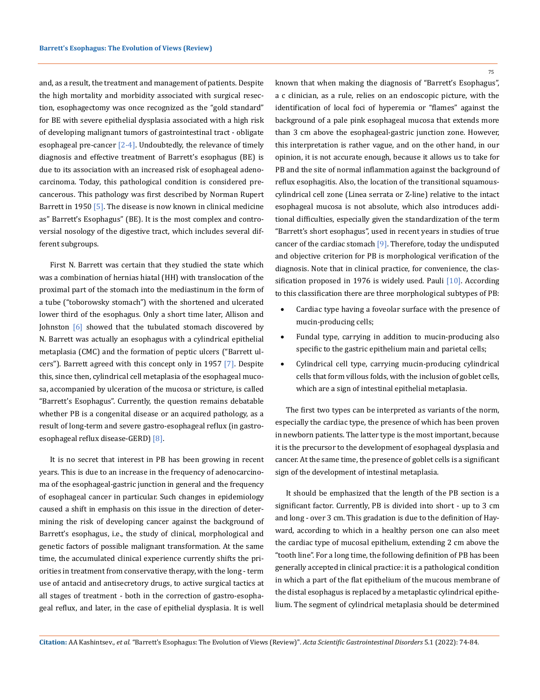and, as a result, the treatment and management of patients. Despite the high mortality and morbidity associated with surgical resection, esophagectomy was once recognized as the "gold standard" for BE with severe epithelial dysplasia associated with a high risk of developing malignant tumors of gastrointestinal tract - obligate esophageal pre-cancer  $[2-4]$ . Undoubtedly, the relevance of timely diagnosis and effective treatment of Barrett's esophagus (BE) is due to its association with an increased risk of esophageal adenocarcinoma. Today, this pathological condition is considered precancerous. This pathology was first described by Norman Rupert Barrett in 1950 [5]. The disease is now known in clinical medicine as" Barrett's Esophagus" (BE). It is the most complex and controversial nosology of the digestive tract, which includes several different subgroups.

First N. Barrett was certain that they studied the state which was a combination of hernias hiatal (HH) with translocation of the proximal part of the stomach into the mediastinum in the form of a tube ("toborowsky stomach") with the shortened and ulcerated lower third of the esophagus. Only a short time later, Allison and Johnston [6] showed that the tubulated stomach discovered by N. Barrett was actually an esophagus with a cylindrical epithelial metaplasia (CMC) and the formation of peptic ulcers ("Barrett ulcers"). Barrett agreed with this concept only in 1957 [7]. Despite this, since then, cylindrical cell metaplasia of the esophageal mucosa, accompanied by ulceration of the mucosa or stricture, is called "Barrett's Esophagus". Currently, the question remains debatable whether PB is a congenital disease or an acquired pathology, as a result of long-term and severe gastro-esophageal reflux (in gastroesophageal reflux disease-GERD) [8].

It is no secret that interest in PB has been growing in recent years. This is due to an increase in the frequency of adenocarcinoma of the esophageal-gastric junction in general and the frequency of esophageal cancer in particular. Such changes in epidemiology caused a shift in emphasis on this issue in the direction of determining the risk of developing cancer against the background of Barrett's esophagus, i.e., the study of clinical, morphological and genetic factors of possible malignant transformation. At the same time, the accumulated clinical experience currently shifts the priorities in treatment from conservative therapy, with the long - term use of antacid and antisecretory drugs, to active surgical tactics at all stages of treatment - both in the correction of gastro-esophageal reflux, and later, in the case of epithelial dysplasia. It is well

75

known that when making the diagnosis of "Barrett's Esophagus", a c clinician, as a rule, relies on an endoscopic picture, with the identification of local foci of hyperemia or "flames" against the background of a pale pink esophageal mucosa that extends more than 3 cm above the esophageal-gastric junction zone. However, this interpretation is rather vague, and on the other hand, in our opinion, it is not accurate enough, because it allows us to take for PB and the site of normal inflammation against the background of reflux esophagitis. Also, the location of the transitional squamouscylindrical cell zone (Linea serrata or Z-line) relative to the intact esophageal mucosa is not absolute, which also introduces additional difficulties, especially given the standardization of the term "Barrett's short esophagus", used in recent years in studies of true cancer of the cardiac stomach [9]. Therefore, today the undisputed and objective criterion for PB is morphological verification of the diagnosis. Note that in clinical practice, for convenience, the classification proposed in 1976 is widely used. Pauli [10]. According to this classification there are three morphological subtypes of PB:

- Cardiac type having a foveolar surface with the presence of mucin-producing cells;
- Fundal type, carrying in addition to mucin-producing also specific to the gastric epithelium main and parietal cells;
- Cylindrical cell type, carrying mucin-producing cylindrical cells that form villous folds, with the inclusion of goblet cells, which are a sign of intestinal epithelial metaplasia.

The first two types can be interpreted as variants of the norm, especially the cardiac type, the presence of which has been proven in newborn patients. The latter type is the most important, because it is the precursor to the development of esophageal dysplasia and cancer. At the same time, the presence of goblet cells is a significant sign of the development of intestinal metaplasia.

It should be emphasized that the length of the PB section is a significant factor. Currently, PB is divided into short - up to 3 cm and long - over 3 cm. This gradation is due to the definition of Hayward, according to which in a healthy person one can also meet the cardiac type of mucosal epithelium, extending 2 cm above the "tooth line". For a long time, the following definition of PB has been generally accepted in clinical practice: it is a pathological condition in which a part of the flat epithelium of the mucous membrane of the distal esophagus is replaced by a metaplastic cylindrical epithelium. The segment of cylindrical metaplasia should be determined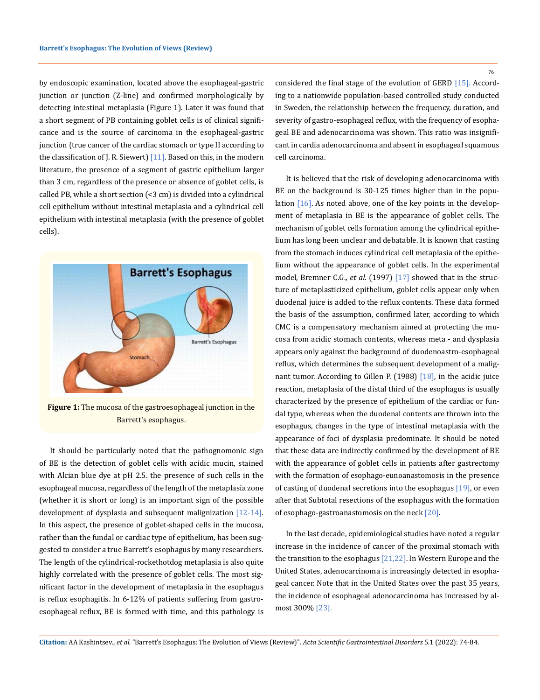by endoscopic examination, located above the esophageal-gastric junction or junction (Z-line) and confirmed morphologically by detecting intestinal metaplasia (Figure 1). Later it was found that a short segment of PB containing goblet cells is of clinical significance and is the source of carcinoma in the esophageal-gastric junction (true cancer of the cardiac stomach or type II according to the classification of J. R. Siewert)  $[11]$ . Based on this, in the modern literature, the presence of a segment of gastric epithelium larger than 3 cm, regardless of the presence or absence of goblet cells, is called PB, while a short section (<3 cm) is divided into a cylindrical cell epithelium without intestinal metaplasia and a cylindrical cell epithelium with intestinal metaplasia (with the presence of goblet cells).



**Figure 1:** The mucosa of the gastroesophageal junction in the Barrett's esophagus.

It should be particularly noted that the pathognomonic sign of BE is the detection of goblet cells with acidic mucin, stained with Alcian blue dye at pH 2.5. the presence of such cells in the esophageal mucosa, regardless of the length of the metaplasia zone (whether it is short or long) is an important sign of the possible development of dysplasia and subsequent malignization [12-14]. In this aspect, the presence of goblet-shaped cells in the mucosa, rather than the fundal or cardiac type of epithelium, has been suggested to consider a true Barrett's esophagus by many researchers. The length of the cylindrical-rockethotdog metaplasia is also quite highly correlated with the presence of goblet cells. The most significant factor in the development of metaplasia in the esophagus is reflux esophagitis. In 6-12% of patients suffering from gastroesophageal reflux, BE is formed with time, and this pathology is considered the final stage of the evolution of GERD [15]. According to a nationwide population-based controlled study conducted in Sweden, the relationship between the frequency, duration, and severity of gastro-esophageal reflux, with the frequency of esophageal BE and adenocarcinoma was shown. This ratio was insignificant in cardia adenocarcinoma and absent in esophageal squamous cell carcinoma.

It is believed that the risk of developing adenocarcinoma with BE on the background is 30-125 times higher than in the population  $[16]$ . As noted above, one of the key points in the development of metaplasia in BE is the appearance of goblet cells. The mechanism of goblet cells formation among the cylindrical epithelium has long been unclear and debatable. It is known that casting from the stomach induces cylindrical cell metaplasia of the epithelium without the appearance of goblet cells. In the experimental model, Bremner C.G., *et al*. (1997) [17] showed that in the structure of metaplasticized epithelium, goblet cells appear only when duodenal juice is added to the reflux contents. These data formed the basis of the assumption, confirmed later, according to which CMC is a compensatory mechanism aimed at protecting the mucosa from acidic stomach contents, whereas meta - and dysplasia appears only against the background of duodenoastro-esophageal reflux, which determines the subsequent development of a malignant tumor. According to Gillen P. (1988) [18], in the acidic juice reaction, metaplasia of the distal third of the esophagus is usually characterized by the presence of epithelium of the cardiac or fundal type, whereas when the duodenal contents are thrown into the esophagus, changes in the type of intestinal metaplasia with the appearance of foci of dysplasia predominate. It should be noted that these data are indirectly confirmed by the development of BE with the appearance of goblet cells in patients after gastrectomy with the formation of esophago-eunoanastomosis in the presence of casting of duodenal secretions into the esophagus [19], or even after that Subtotal resections of the esophagus with the formation of esophago-gastroanastomosis on the neck [20].

In the last decade, epidemiological studies have noted a regular increase in the incidence of cancer of the proximal stomach with the transition to the esophagus [21,22]. In Western Europe and the United States, adenocarcinoma is increasingly detected in esophageal cancer. Note that in the United States over the past 35 years, the incidence of esophageal adenocarcinoma has increased by almost 300% [23].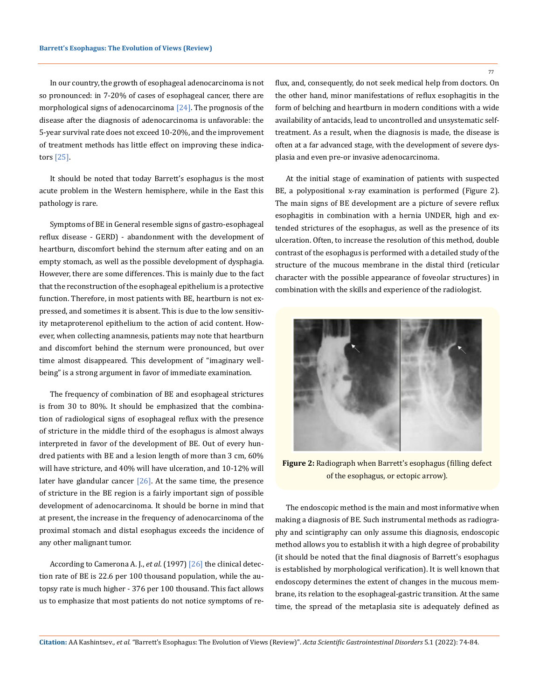In our country, the growth of esophageal adenocarcinoma is not so pronounced: in 7-20% of cases of esophageal cancer, there are morphological signs of adenocarcinoma  $[24]$ . The prognosis of the disease after the diagnosis of adenocarcinoma is unfavorable: the 5-year survival rate does not exceed 10-20%, and the improvement of treatment methods has little effect on improving these indicators [25].

It should be noted that today Barrett's esophagus is the most acute problem in the Western hemisphere, while in the East this pathology is rare.

Symptoms of BE in General resemble signs of gastro-esophageal reflux disease - GERD) - abandonment with the development of heartburn, discomfort behind the sternum after eating and on an empty stomach, as well as the possible development of dysphagia. However, there are some differences. This is mainly due to the fact that the reconstruction of the esophageal epithelium is a protective function. Therefore, in most patients with BE, heartburn is not expressed, and sometimes it is absent. This is due to the low sensitivity metaproterenol epithelium to the action of acid content. However, when collecting anamnesis, patients may note that heartburn and discomfort behind the sternum were pronounced, but over time almost disappeared. This development of "imaginary wellbeing" is a strong argument in favor of immediate examination.

The frequency of combination of BE and esophageal strictures is from 30 to 80%. It should be emphasized that the combination of radiological signs of esophageal reflux with the presence of stricture in the middle third of the esophagus is almost always interpreted in favor of the development of BE. Out of every hundred patients with BE and a lesion length of more than 3 cm, 60% will have stricture, and 40% will have ulceration, and 10-12% will later have glandular cancer  $[26]$ . At the same time, the presence of stricture in the BE region is a fairly important sign of possible development of adenocarcinoma. It should be borne in mind that at present, the increase in the frequency of adenocarcinoma of the proximal stomach and distal esophagus exceeds the incidence of any other malignant tumor.

According to Camerona A. J., *et al*. (1997) [26] the clinical detection rate of BE is 22.6 per 100 thousand population, while the autopsy rate is much higher - 376 per 100 thousand. This fact allows us to emphasize that most patients do not notice symptoms of reflux, and, consequently, do not seek medical help from doctors. On the other hand, minor manifestations of reflux esophagitis in the form of belching and heartburn in modern conditions with a wide availability of antacids, lead to uncontrolled and unsystematic selftreatment. As a result, when the diagnosis is made, the disease is often at a far advanced stage, with the development of severe dysplasia and even pre-or invasive adenocarcinoma.

At the initial stage of examination of patients with suspected BE, a polypositional x-ray examination is performed (Figure 2). The main signs of BE development are a picture of severe reflux esophagitis in combination with a hernia UNDER, high and extended strictures of the esophagus, as well as the presence of its ulceration. Often, to increase the resolution of this method, double contrast of the esophagus is performed with a detailed study of the structure of the mucous membrane in the distal third (reticular character with the possible appearance of foveolar structures) in combination with the skills and experience of the radiologist.



**Figure 2:** Radiograph when Barrett's esophagus (filling defect of the esophagus, or ectopic arrow).

The endoscopic method is the main and most informative when making a diagnosis of BE. Such instrumental methods as radiography and scintigraphy can only assume this diagnosis, endoscopic method allows you to establish it with a high degree of probability (it should be noted that the final diagnosis of Barrett's esophagus is established by morphological verification). It is well known that endoscopy determines the extent of changes in the mucous membrane, its relation to the esophageal-gastric transition. At the same time, the spread of the metaplasia site is adequately defined as

77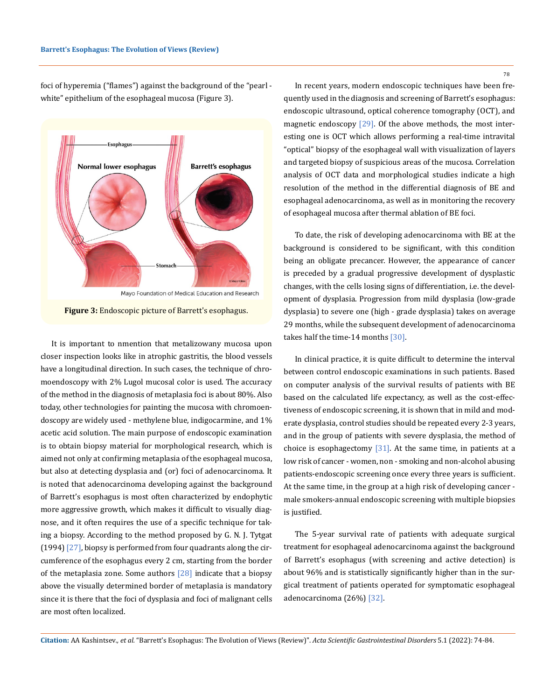foci of hyperemia ("flames") against the background of the "pearl white" epithelium of the esophageal mucosa (Figure 3).



**Figure 3:** Endoscopic picture of Barrett's esophagus.

It is important to nmention that metalizowany mucosa upon closer inspection looks like in atrophic gastritis, the blood vessels have a longitudinal direction. In such cases, the technique of chromoendoscopy with 2% Lugol mucosal color is used. The accuracy of the method in the diagnosis of metaplasia foci is about 80%. Also today, other technologies for painting the mucosa with chromoendoscopy are widely used - methylene blue, indigocarmine, and 1% acetic acid solution. The main purpose of endoscopic examination is to obtain biopsy material for morphological research, which is aimed not only at confirming metaplasia of the esophageal mucosa, but also at detecting dysplasia and (or) foci of adenocarcinoma. It is noted that adenocarcinoma developing against the background of Barrett's esophagus is most often characterized by endophytic more aggressive growth, which makes it difficult to visually diagnose, and it often requires the use of a specific technique for taking a biopsy. According to the method proposed by G. N. J. Tytgat (1994)  $[27]$ , biopsy is performed from four quadrants along the circumference of the esophagus every 2 cm, starting from the border of the metaplasia zone. Some authors  $[28]$  indicate that a biopsy above the visually determined border of metaplasia is mandatory since it is there that the foci of dysplasia and foci of malignant cells are most often localized.

78

In recent years, modern endoscopic techniques have been frequently used in the diagnosis and screening of Barrett's esophagus: endoscopic ultrasound, optical coherence tomography (OCT), and magnetic endoscopy [29]. Of the above methods, the most interesting one is OCT which allows performing a real-time intravital "optical" biopsy of the esophageal wall with visualization of layers and targeted biopsy of suspicious areas of the mucosa. Correlation analysis of OCT data and morphological studies indicate a high resolution of the method in the differential diagnosis of BE and esophageal adenocarcinoma, as well as in monitoring the recovery of esophageal mucosa after thermal ablation of BE foci.

To date, the risk of developing adenocarcinoma with BE at the background is considered to be significant, with this condition being an obligate precancer. However, the appearance of cancer is preceded by a gradual progressive development of dysplastic changes, with the cells losing signs of differentiation, i.e. the development of dysplasia. Progression from mild dysplasia (low-grade dysplasia) to severe one (high - grade dysplasia) takes on average 29 months, while the subsequent development of adenocarcinoma takes half the time-14 months [30].

In clinical practice, it is quite difficult to determine the interval between control endoscopic examinations in such patients. Based on computer analysis of the survival results of patients with BE based on the calculated life expectancy, as well as the cost-effectiveness of endoscopic screening, it is shown that in mild and moderate dysplasia, control studies should be repeated every 2-3 years, and in the group of patients with severe dysplasia, the method of choice is esophagectomy [31]. At the same time, in patients at a low risk of cancer - women, non - smoking and non-alcohol abusing patients-endoscopic screening once every three years is sufficient. At the same time, in the group at a high risk of developing cancer male smokers-annual endoscopic screening with multiple biopsies is justified.

The 5-year survival rate of patients with adequate surgical treatment for esophageal adenocarcinoma against the background of Barrett's esophagus (with screening and active detection) is about 96% and is statistically significantly higher than in the surgical treatment of patients operated for symptomatic esophageal adenocarcinoma (26%) [32].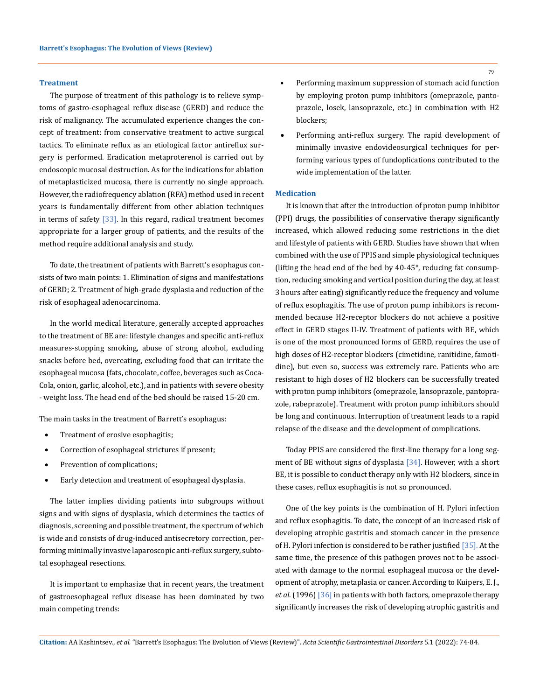#### **Treatment**

The purpose of treatment of this pathology is to relieve symptoms of gastro-esophageal reflux disease (GERD) and reduce the risk of malignancy. The accumulated experience changes the concept of treatment: from conservative treatment to active surgical tactics. To eliminate reflux as an etiological factor antireflux surgery is performed. Eradication metaproterenol is carried out by endoscopic mucosal destruction. As for the indications for ablation of metaplasticized mucosa, there is currently no single approach. However, the radiofrequency ablation (RFA) method used in recent years is fundamentally different from other ablation techniques in terms of safety  $\left[33\right]$ . In this regard, radical treatment becomes appropriate for a larger group of patients, and the results of the method require additional analysis and study.

To date, the treatment of patients with Barrett's esophagus consists of two main points: 1. Elimination of signs and manifestations of GERD; 2. Treatment of high-grade dysplasia and reduction of the risk of esophageal adenocarcinoma.

In the world medical literature, generally accepted approaches to the treatment of BE are: lifestyle changes and specific anti-reflux measures-stopping smoking, abuse of strong alcohol, excluding snacks before bed, overeating, excluding food that can irritate the esophageal mucosa (fats, chocolate, coffee, beverages such as Coca-Cola, onion, garlic, alcohol, etc.), and in patients with severe obesity - weight loss. The head end of the bed should be raised 15-20 cm.

The main tasks in the treatment of Barrett's esophagus:

- Treatment of erosive esophagitis;
- Correction of esophageal strictures if present;
- Prevention of complications;
- • Early detection and treatment of esophageal dysplasia.

The latter implies dividing patients into subgroups without signs and with signs of dysplasia, which determines the tactics of diagnosis, screening and possible treatment, the spectrum of which is wide and consists of drug-induced antisecretory correction, performing minimally invasive laparoscopic anti-reflux surgery, subtotal esophageal resections.

It is important to emphasize that in recent years, the treatment of gastroesophageal reflux disease has been dominated by two main competing trends:

- Performing maximum suppression of stomach acid function by employing proton pump inhibitors (omeprazole, pantoprazole, losek, lansoprazole, etc.) in combination with H2 blockers;
- Performing anti-reflux surgery. The rapid development of minimally invasive endovideosurgical techniques for performing various types of fundoplications contributed to the wide implementation of the latter.

#### **Medication**

It is known that after the introduction of proton pump inhibitor (PPI) drugs, the possibilities of conservative therapy significantly increased, which allowed reducing some restrictions in the diet and lifestyle of patients with GERD. Studies have shown that when combined with the use of PPIS and simple physiological techniques (lifting the head end of the bed by 40-45°, reducing fat consumption, reducing smoking and vertical position during the day, at least 3 hours after eating) significantly reduce the frequency and volume of reflux esophagitis. The use of proton pump inhibitors is recommended because H2-receptor blockers do not achieve a positive effect in GERD stages II-IV. Treatment of patients with BE, which is one of the most pronounced forms of GERD, requires the use of high doses of H2-receptor blockers (cimetidine, ranitidine, famotidine), but even so, success was extremely rare. Patients who are resistant to high doses of H2 blockers can be successfully treated with proton pump inhibitors (omeprazole, lansoprazole, pantoprazole, rabeprazole). Treatment with proton pump inhibitors should be long and continuous. Interruption of treatment leads to a rapid relapse of the disease and the development of complications.

Today PPIS are considered the first-line therapy for a long segment of BE without signs of dysplasia [34]. However, with a short BE, it is possible to conduct therapy only with H2 blockers, since in these cases, reflux esophagitis is not so pronounced.

One of the key points is the combination of H. Pylori infection and reflux esophagitis. To date, the concept of an increased risk of developing atrophic gastritis and stomach cancer in the presence of H. Pylori infection is considered to be rather justified [35]. At the same time, the presence of this pathogen proves not to be associated with damage to the normal esophageal mucosa or the development of atrophy, metaplasia or cancer. According to Kuipers, E. J., *et al*. (1996) [36] in patients with both factors, omeprazole therapy significantly increases the risk of developing atrophic gastritis and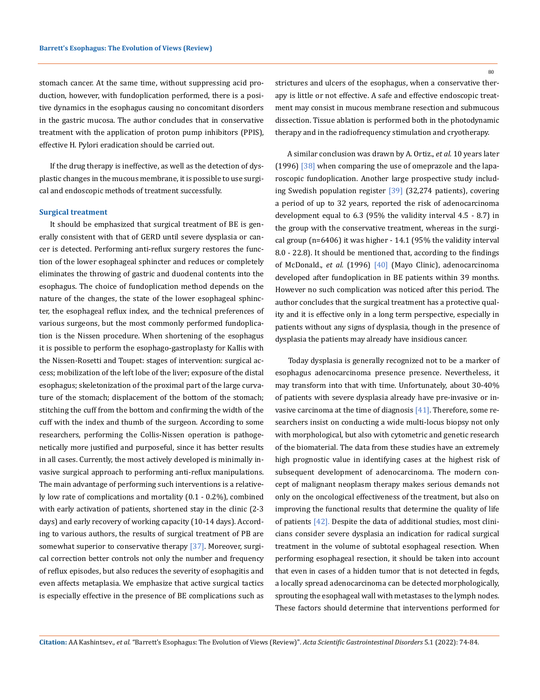stomach cancer. At the same time, without suppressing acid production, however, with fundoplication performed, there is a positive dynamics in the esophagus causing no concomitant disorders in the gastric mucosa. The author concludes that in conservative treatment with the application of proton pump inhibitors (PPIS), effective H. Pylori eradication should be carried out.

If the drug therapy is ineffective, as well as the detection of dysplastic changes in the mucous membrane, it is possible to use surgical and endoscopic methods of treatment successfully.

#### **Surgical treatment**

It should be emphasized that surgical treatment of BE is generally consistent with that of GERD until severe dysplasia or cancer is detected. Performing anti-reflux surgery restores the function of the lower esophageal sphincter and reduces or completely eliminates the throwing of gastric and duodenal contents into the esophagus. The choice of fundoplication method depends on the nature of the changes, the state of the lower esophageal sphincter, the esophageal reflux index, and the technical preferences of various surgeons, but the most commonly performed fundoplication is the Nissen procedure. When shortening of the esophagus it is possible to perform the esophago-gastroplasty for Kallis with the Nissen-Rosetti and Toupet: stages of intervention: surgical access; mobilization of the left lobe of the liver; exposure of the distal esophagus; skeletonization of the proximal part of the large curvature of the stomach; displacement of the bottom of the stomach; stitching the cuff from the bottom and confirming the width of the cuff with the index and thumb of the surgeon. According to some researchers, performing the Collis-Nissen operation is pathogenetically more justified and purposeful, since it has better results in all cases. Currently, the most actively developed is minimally invasive surgical approach to performing anti-reflux manipulations. The main advantage of performing such interventions is a relatively low rate of complications and mortality (0.1 - 0.2%), combined with early activation of patients, shortened stay in the clinic (2-3 days) and early recovery of working capacity (10-14 days). According to various authors, the results of surgical treatment of PB are somewhat superior to conservative therapy [37]. Moreover, surgical correction better controls not only the number and frequency of reflux episodes, but also reduces the severity of esophagitis and even affects metaplasia. We emphasize that active surgical tactics is especially effective in the presence of BE complications such as

strictures and ulcers of the esophagus, when a conservative therapy is little or not effective. A safe and effective endoscopic treatment may consist in mucous membrane resection and submucous dissection. Tissue ablation is performed both in the photodynamic therapy and in the radiofrequency stimulation and cryotherapy.

 A similar conclusion was drawn by A. Ortiz., *et al.* 10 years later (1996)  $\left[38\right]$  when comparing the use of omeprazole and the laparoscopic fundoplication. Another large prospective study including Swedish population register [39] (32,274 patients), covering a period of up to 32 years, reported the risk of adenocarcinoma development equal to 6.3 (95% the validity interval 4.5 - 8.7) in the group with the conservative treatment, whereas in the surgical group (n=6406) it was higher - 14.1 (95% the validity interval 8.0 - 22.8). It should be mentioned that, according to the findings of McDonald., *et al.* (1996) [40] (Mayo Clinic), adenocarcinoma developed after fundoplication in BE patients within 39 months. However no such complication was noticed after this period. The author concludes that the surgical treatment has a protective quality and it is effective only in a long term perspective, especially in patients without any signs of dysplasia, though in the presence of dysplasia the patients may already have insidious cancer.

 Today dysplasia is generally recognized not to be a marker of esophagus adenocarcinoma presence presence. Nevertheless, it may transform into that with time. Unfortunately, about 30-40% of patients with severe dysplasia already have pre-invasive or invasive carcinoma at the time of diagnosis  $[41]$ . Therefore, some researchers insist on conducting a wide multi-locus biopsy not only with morphological, but also with cytometric and genetic research of the biomaterial. The data from these studies have an extremely high prognostic value in identifying cases at the highest risk of subsequent development of adenocarcinoma. The modern concept of malignant neoplasm therapy makes serious demands not only on the oncological effectiveness of the treatment, but also on improving the functional results that determine the quality of life of patients [42]. Despite the data of additional studies, most clinicians consider severe dysplasia an indication for radical surgical treatment in the volume of subtotal esophageal resection. When performing esophageal resection, it should be taken into account that even in cases of a hidden tumor that is not detected in fegds, a locally spread adenocarcinoma can be detected morphologically, sprouting the esophageal wall with metastases to the lymph nodes. These factors should determine that interventions performed for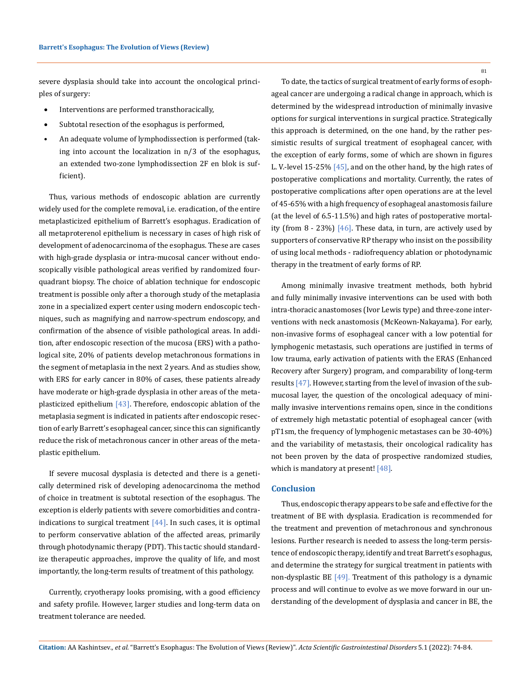severe dysplasia should take into account the oncological principles of surgery:

- Interventions are performed transthoracically,
- Subtotal resection of the esophagus is performed,
- An adequate volume of lymphodissection is performed (taking into account the localization in n/3 of the esophagus, an extended two-zone lymphodissection 2F en blok is sufficient).

Thus, various methods of endoscopic ablation are currently widely used for the complete removal, i.e. eradication, of the entire metaplasticized epithelium of Barrett's esophagus. Eradication of all metaproterenol epithelium is necessary in cases of high risk of development of adenocarcinoma of the esophagus. These are cases with high-grade dysplasia or intra-mucosal cancer without endoscopically visible pathological areas verified by randomized fourquadrant biopsy. The choice of ablation technique for endoscopic treatment is possible only after a thorough study of the metaplasia zone in a specialized expert center using modern endoscopic techniques, such as magnifying and narrow-spectrum endoscopy, and confirmation of the absence of visible pathological areas. In addition, after endoscopic resection of the mucosa (ERS) with a pathological site, 20% of patients develop metachronous formations in the segment of metaplasia in the next 2 years. And as studies show, with ERS for early cancer in 80% of cases, these patients already have moderate or high-grade dysplasia in other areas of the metaplasticized epithelium  $[43]$ . Therefore, endoscopic ablation of the metaplasia segment is indicated in patients after endoscopic resection of early Barrett's esophageal cancer, since this can significantly reduce the risk of metachronous cancer in other areas of the metaplastic epithelium.

If severe mucosal dysplasia is detected and there is a genetically determined risk of developing adenocarcinoma the method of choice in treatment is subtotal resection of the esophagus. The exception is elderly patients with severe comorbidities and contraindications to surgical treatment  $[44]$ . In such cases, it is optimal to perform conservative ablation of the affected areas, primarily through photodynamic therapy (PDT). This tactic should standardize therapeutic approaches, improve the quality of life, and most importantly, the long-term results of treatment of this pathology.

Currently, cryotherapy looks promising, with a good efficiency and safety profile. However, larger studies and long-term data on treatment tolerance are needed.

To date, the tactics of surgical treatment of early forms of esophageal cancer are undergoing a radical change in approach, which is determined by the widespread introduction of minimally invasive options for surgical interventions in surgical practice. Strategically this approach is determined, on the one hand, by the rather pessimistic results of surgical treatment of esophageal cancer, with the exception of early forms, some of which are shown in figures L. V.-level 15-25% [45], and on the other hand, by the high rates of postoperative complications and mortality. Currently, the rates of postoperative complications after open operations are at the level of 45-65% with a high frequency of esophageal anastomosis failure (at the level of 6.5-11.5%) and high rates of postoperative mortality (from 8 - 23%) [46]. These data, in turn, are actively used by supporters of conservative RP therapy who insist on the possibility of using local methods - radiofrequency ablation or photodynamic therapy in the treatment of early forms of RP.

Among minimally invasive treatment methods, both hybrid and fully minimally invasive interventions can be used with both intra-thoracic anastomoses (Ivor Lewis type) and three-zone interventions with neck anastomosis (McKeown-Nakayama). For early, non-invasive forms of esophageal cancer with a low potential for lymphogenic metastasis, such operations are justified in terms of low trauma, early activation of patients with the ERAS (Enhanced Recovery after Surgery) program, and comparability of long-term results [47]. However, starting from the level of invasion of the submucosal layer, the question of the oncological adequacy of minimally invasive interventions remains open, since in the conditions of extremely high metastatic potential of esophageal cancer (with pT1sm, the frequency of lymphogenic metastases can be 30-40%) and the variability of metastasis, their oncological radicality has not been proven by the data of prospective randomized studies, which is mandatory at present! [48].

## **Conclusion**

Thus, endoscopic therapy appears to be safe and effective for the treatment of BE with dysplasia. Eradication is recommended for the treatment and prevention of metachronous and synchronous lesions. Further research is needed to assess the long-term persistence of endoscopic therapy, identify and treat Barrett's esophagus, and determine the strategy for surgical treatment in patients with non-dysplastic BE [49]. Treatment of this pathology is a dynamic process and will continue to evolve as we move forward in our understanding of the development of dysplasia and cancer in BE, the

**Citation:** AA Kashintsev*., et al.* "Barrett's Esophagus: The Evolution of Views (Review)". *Acta Scientific Gastrointestinal Disorders* 5.1 (2022): 74-84.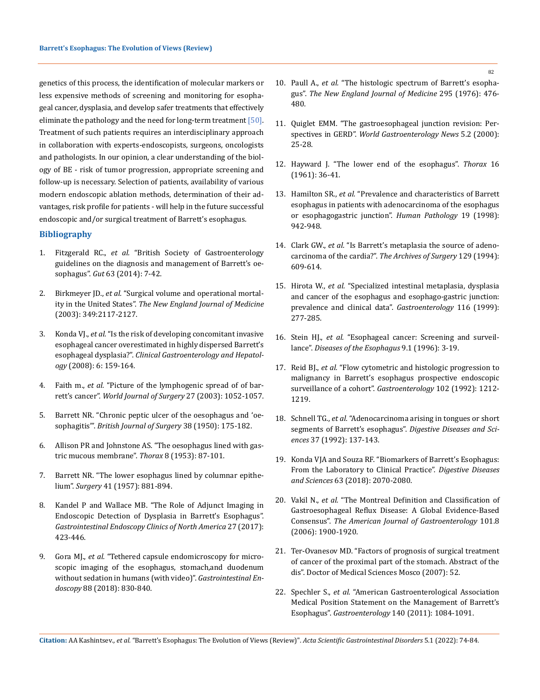genetics of this process, the identification of molecular markers or less expensive methods of screening and monitoring for esophageal cancer, dysplasia, and develop safer treatments that effectively eliminate the pathology and the need for long-term treatment [50]. Treatment of such patients requires an interdisciplinary approach in collaboration with experts-endoscopists, surgeons, oncologists and pathologists. In our opinion, a clear understanding of the biology of BE - risk of tumor progression, appropriate screening and follow-up is necessary. Selection of patients, availability of various modern endoscopic ablation methods, determination of their advantages, risk profile for patients - will help in the future successful endoscopic and/or surgical treatment of Barrett's esophagus.

## **Bibliography**

- 1. Fitzgerald RC., *et al.* ["British Society of Gastroenterology](https://pubmed.ncbi.nlm.nih.gov/24165758/)  [guidelines on the diagnosis and management of Barrett's oe](https://pubmed.ncbi.nlm.nih.gov/24165758/)sophagus". *Gut* [63 \(2014\): 7-42.](https://pubmed.ncbi.nlm.nih.gov/24165758/)
- 2. Birkmeyer JD., *et al.* ["Surgical volume and operational mortal](https://pubmed.ncbi.nlm.nih.gov/14645640/)ity in the United States". *[The New England Journal of Medicine](https://pubmed.ncbi.nlm.nih.gov/14645640/)*  [\(2003\): 349:2117-2127.](https://pubmed.ncbi.nlm.nih.gov/14645640/)
- 3. Konda VJ., *et al.* ["Is the risk of developing concomitant invasive](https://pubmed.ncbi.nlm.nih.gov/18096439/)  [esophageal cancer overestimated in highly dispersed Barrett's](https://pubmed.ncbi.nlm.nih.gov/18096439/)  esophageal dysplasia?". *[Clinical Gastroenterology and Hepatol](https://pubmed.ncbi.nlm.nih.gov/18096439/)ogy* [\(2008\): 6: 159-164.](https://pubmed.ncbi.nlm.nih.gov/18096439/)
- 4. Faith m., *et al.* ["Picture of the lymphogenic spread of of bar](https://pubmed.ncbi.nlm.nih.gov/12917758/)rett's cancer". *[World Journal of Surgery](https://pubmed.ncbi.nlm.nih.gov/12917758/)* 27 (2003): 1052-1057.
- 5. Barrett NR. "Chronic peptic ulcer of the oesophagus and 'oesophagitis'". *British Journal of Surgery* 38 (1950): 175-182.
- 6. [Allison PR and Johnstone AS. "The oesophagus lined with gas](https://pubmed.ncbi.nlm.nih.gov/13077502/)[tric mucous membrane".](https://pubmed.ncbi.nlm.nih.gov/13077502/) *Thorax* 8 (1953): 87-101.
- 7. [Barrett NR. "The lower esophagus lined by columnar epithe](https://pubmed.ncbi.nlm.nih.gov/13442856/)lium". *Surgery* [41 \(1957\): 881-894.](https://pubmed.ncbi.nlm.nih.gov/13442856/)
- 8. [Kandel P and Wallace MB. "The Role of Adjunct Imaging in](https://pubmed.ncbi.nlm.nih.gov/28577765)  [Endoscopic Detection of Dysplasia in Barrett's Esophagus".](https://pubmed.ncbi.nlm.nih.gov/28577765)  *[Gastrointestinal Endoscopy Clinics of North America](https://pubmed.ncbi.nlm.nih.gov/28577765)* 27 (2017): [423-446.](https://pubmed.ncbi.nlm.nih.gov/28577765)
- 9. Gora MJ., *et al.* ["Tethered capsule endomicroscopy for micro](https://pubmed.ncbi.nlm.nih.gov/30031805/)[scopic imaging of the esophagus, stomach,and duodenum](https://pubmed.ncbi.nlm.nih.gov/30031805/)  [without sedation in humans \(with video\)".](https://pubmed.ncbi.nlm.nih.gov/30031805/) *Gastrointestinal Endoscopy* 88 (2018): 830-840.
- 10. Paull A., *et al.* ["The histologic spectrum of Barrett's esopha](https://pubmed.ncbi.nlm.nih.gov/940579/)gus". *[The New England Journal of Medicine](https://pubmed.ncbi.nlm.nih.gov/940579/)* 295 (1976): 476- [480.](https://pubmed.ncbi.nlm.nih.gov/940579/)
- 11. Quiglet EMM. "The gastroesophageal junction revision: Perspectives in GERD". *World Gastroenterology News* 5.2 (2000): 25-28.
- 12. [Hayward J. "The lower end of the esophagus".](https://pubmed.ncbi.nlm.nih.gov/13712529/) *Thorax* 16 [\(1961\): 36-41.](https://pubmed.ncbi.nlm.nih.gov/13712529/)
- 13. Hamilton SR., *et al.* ["Prevalence and characteristics of Barrett](https://pubmed.ncbi.nlm.nih.gov/3402983/)  [esophagus in patients with adenocarcinoma of the esophagus](https://pubmed.ncbi.nlm.nih.gov/3402983/)  [or esophagogastric junction".](https://pubmed.ncbi.nlm.nih.gov/3402983/) *Human Pathology* 19 (1998): [942-948.](https://pubmed.ncbi.nlm.nih.gov/3402983/)
- 14. Clark GW., *et al.* ["Is Barrett's metaplasia the source of adeno](https://pubmed.ncbi.nlm.nih.gov/8204035/)carcinoma of the cardia?". *[The Archives of Surgery](https://pubmed.ncbi.nlm.nih.gov/8204035/)* 129 (1994): [609-614.](https://pubmed.ncbi.nlm.nih.gov/8204035/)
- 15. Hirota W., *et al.* ["Specialized intestinal metaplasia, dysplasia](https://pubmed.ncbi.nlm.nih.gov/9922307/)  [and cancer of the esophagus and esophago-gastric junction:](https://pubmed.ncbi.nlm.nih.gov/9922307/)  [prevalence and clinical data".](https://pubmed.ncbi.nlm.nih.gov/9922307/) *Gastroenterology* 116 (1999): [277-285.](https://pubmed.ncbi.nlm.nih.gov/9922307/)
- 16. Stein HJ., *et al.* "Esophageal cancer: Screening and surveillance". *Diseases of the Esophagus* 9.1 (1996): 3-19.
- 17. Reid BJ., *et al.* ["Flow cytometric and histologic progression to](https://pubmed.ncbi.nlm.nih.gov/1551528/)  [malignancy in Barrett's esophagus prospective endoscopic](https://pubmed.ncbi.nlm.nih.gov/1551528/)  [surveillance of a cohort".](https://pubmed.ncbi.nlm.nih.gov/1551528/) *Gastroenterology* 102 (1992): 1212- [1219.](https://pubmed.ncbi.nlm.nih.gov/1551528/)
- 18. Schnell TG., *et al.* ["Adenocarcinoma arising in tongues or short](https://pubmed.ncbi.nlm.nih.gov/1728519/)  [segments of Barrett's esophagus".](https://pubmed.ncbi.nlm.nih.gov/1728519/) *Digestive Diseases and Sciences* [37 \(1992\): 137-143.](https://pubmed.ncbi.nlm.nih.gov/1728519/)
- 19. [Konda VJA and Souza RF. "Biomarkers of Barrett's Esophagus:](https://pubmed.ncbi.nlm.nih.gov/29713984/)  [From the Laboratory to Clinical Practice".](https://pubmed.ncbi.nlm.nih.gov/29713984/) *Digestive Diseases and Sciences* [63 \(2018\): 2070-2080.](https://pubmed.ncbi.nlm.nih.gov/29713984/)
- 20. Vakil N., *et al.* ["The Montreal Definition and Classification of](https://pubmed.ncbi.nlm.nih.gov/16928254/)  [Gastroesophageal Reflux Disease: A Global Evidence-Based](https://pubmed.ncbi.nlm.nih.gov/16928254/)  Consensus". *[The American Journal of Gastroenterology](https://pubmed.ncbi.nlm.nih.gov/16928254/)* 101.8 [\(2006\): 1900-1920.](https://pubmed.ncbi.nlm.nih.gov/16928254/)
- 21. Ter-Ovanesov MD. "Factors of prognosis of surgical treatment of cancer of the proximal part of the stomach. Abstract of the dis". Doctor of Medical Sciences Mosco (2007): 52.
- 22. Spechler S., *et al.* ["American Gastroenterological Association](https://pubmed.ncbi.nlm.nih.gov/21376940/)  [Medical Position Statement on the Management of Barrett's](https://pubmed.ncbi.nlm.nih.gov/21376940/)  Esophagus". *Gastroenterology* [140 \(2011\): 1084-1091.](https://pubmed.ncbi.nlm.nih.gov/21376940/)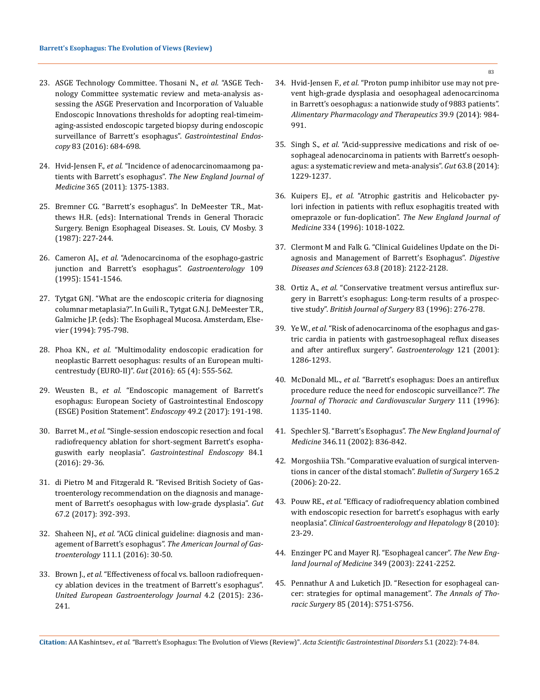- 23. [ASGE Technology Committee. Thosani N.,](https://pubmed.ncbi.nlm.nih.gov/26874597/) *et al.* "ASGE Tech[nology Committee systematic review and meta-analysis as](https://pubmed.ncbi.nlm.nih.gov/26874597/)[sessing the ASGE Preservation and Incorporation of Valuable](https://pubmed.ncbi.nlm.nih.gov/26874597/) [Endoscopic Innovations thresholds for adopting real-timeim](https://pubmed.ncbi.nlm.nih.gov/26874597/)[aging-assisted endoscopic targeted biopsy during endoscopic](https://pubmed.ncbi.nlm.nih.gov/26874597/) [surveillance of Barrett's esophagus".](https://pubmed.ncbi.nlm.nih.gov/26874597/) *Gastrointestinal Endoscopy* [83 \(2016\): 684-698.](https://pubmed.ncbi.nlm.nih.gov/26874597/)
- 24. Hvid-Jensen F., *et al.* ["Incidence of adenocarcinomaamong pa](https://www.nejm.org/doi/full/10.1056/nejmoa1103042)tients with Barrett's esophagus". *[The New England Journal of](https://www.nejm.org/doi/full/10.1056/nejmoa1103042) Medicine* [365 \(2011\): 1375-1383.](https://www.nejm.org/doi/full/10.1056/nejmoa1103042)
- 25. Bremner CG. "Barrett's esophagus". In DeMeester T.R., Matthews H.R. (eds): International Trends in General Thoracic Surgery. Benign Esophageal Diseases. St. Louis, CV Mosby. 3 (1987): 227-244.
- 26. Cameron AJ., *et al.* ["Adenocarcinoma of the esophago-gastric](https://pubmed.ncbi.nlm.nih.gov/7557137/) [junction and Barrett's esophagus".](https://pubmed.ncbi.nlm.nih.gov/7557137/) *Gastroenterology* 109 [\(1995\): 1541-1546.](https://pubmed.ncbi.nlm.nih.gov/7557137/)
- 27. Tytgat GNJ. "What are the endoscopic criteria for diagnosing columnar metaplasia?". In Guili R., Tytgat G.N.J. DeMeester T.R., Galmiche J.P. (eds): The Esophageal Mucosa. Amsterdam, Elsevier (1994): 795-798.
- 28. Phoa KN., *et al.* "Multimodality endoscopic eradication for neoplastic Barrett oesophagus: results of an European multicentrestudy (EURO-II)". *Gut* (2016): 65 (4): 555-562.
- 29. Weusten B., *et al.* ["Endoscopic management of Barrett's](https://doi.org/10.1055/s-0042-122140) [esophagus: European Society of Gastrointestinal Endoscopy](https://doi.org/10.1055/s-0042-122140) [\(ESGE\) Position Statement".](https://doi.org/10.1055/s-0042-122140) *Endoscopy* 49.2 (2017): 191-198.
- 30. Barret M., *et al.* ["Single-session endoscopic resection and focal](https://doi.org/10.1016/j.gie.2015.12.034) [radiofrequency ablation for short-segment Barrett's esopha](https://doi.org/10.1016/j.gie.2015.12.034)guswith early neoplasia". *[Gastrointestinal Endoscopy](https://doi.org/10.1016/j.gie.2015.12.034)* 84.1 [\(2016\): 29-36.](https://doi.org/10.1016/j.gie.2015.12.034)
- 31. [di Pietro M and Fitzgerald R. "Revised British Society of Gas](https://pubmed.ncbi.nlm.nih.gov/28389530/)[troenterology recommendation on the diagnosis and manage](https://pubmed.ncbi.nlm.nih.gov/28389530/)[ment of Barrett's oesophagus with low-grade dysplasia".](https://pubmed.ncbi.nlm.nih.gov/28389530/) *Gut* [67.2 \(2017\): 392-393.](https://pubmed.ncbi.nlm.nih.gov/28389530/)
- 32. Shaheen NJ., *et al.* ["ACG clinical guideline: diagnosis and man](https://journals.lww.com/ajg/fulltext/2016/01000/acg_clinical_guideline__diagnosis_and_management.17.aspx)agement of Barrett's esophagus". *[The American Journal of Gas](https://journals.lww.com/ajg/fulltext/2016/01000/acg_clinical_guideline__diagnosis_and_management.17.aspx)troenterology* [111.1 \(2016\): 30-50.](https://journals.lww.com/ajg/fulltext/2016/01000/acg_clinical_guideline__diagnosis_and_management.17.aspx)
- 33. Brown J., *et al.* ["Effectiveness of focal vs. balloon radiofrequen](https://pubmed.ncbi.nlm.nih.gov/27087952/)[cy ablation devices in the treatment of Barrett's esophagus".](https://pubmed.ncbi.nlm.nih.gov/27087952/) *[United European Gastroenterology Journal](https://pubmed.ncbi.nlm.nih.gov/27087952/)* 4.2 (2015): 236- [241.](https://pubmed.ncbi.nlm.nih.gov/27087952/)
- 34. Hvid-Jensen F., *et al.* ["Proton pump inhibitor use may not pre](https://pubmed.ncbi.nlm.nih.gov/24617286/)[vent high-grade dysplasia and oesophageal adenocarcinoma](https://pubmed.ncbi.nlm.nih.gov/24617286/)  [in Barrett's oesophagus: a nationwide study of 9883 patients".](https://pubmed.ncbi.nlm.nih.gov/24617286/)  *[Alimentary Pharmacology and Therapeutics](https://pubmed.ncbi.nlm.nih.gov/24617286/)* 39.9 (2014): 984- [991.](https://pubmed.ncbi.nlm.nih.gov/24617286/)
- 35. Singh S., *et al.* ["Acid-suppressive medications and risk of oe](https://pubmed.ncbi.nlm.nih.gov/24221456/)[sophageal adenocarcinoma in patients with Barrett's oesoph](https://pubmed.ncbi.nlm.nih.gov/24221456/)[agus: a systematic review and meta-analysis".](https://pubmed.ncbi.nlm.nih.gov/24221456/) *Gut* 63.8 (2014): [1229-1237.](https://pubmed.ncbi.nlm.nih.gov/24221456/)
- 36. Kuipers EJ., *et al.* ["Atrophic gastritis and Helicobacter py](https://pubmed.ncbi.nlm.nih.gov/8598839/)[lori infection in patients with reflux esophagitis treated with](https://pubmed.ncbi.nlm.nih.gov/8598839/)  omeprazole or fun-doplication". *[The New England Journal of](https://pubmed.ncbi.nlm.nih.gov/8598839/)  Medicine* [334 \(1996\): 1018-1022.](https://pubmed.ncbi.nlm.nih.gov/8598839/)
- 37. [Clermont M and Falk G. "Clinical Guidelines Update on the Di](https://pubmed.ncbi.nlm.nih.gov/29671159/)[agnosis and Management of Barrett's Esophagus".](https://pubmed.ncbi.nlm.nih.gov/29671159/) *Digestive [Diseases and Sciences](https://pubmed.ncbi.nlm.nih.gov/29671159/)* 63.8 (2018): 2122-2128.
- 38. Ortiz A., *et al.* ["Conservative treatment versus antireflux sur](https://pubmed.ncbi.nlm.nih.gov/8689188/)[gery in Barrett's esophagus: Long-term results of a prospec](https://pubmed.ncbi.nlm.nih.gov/8689188/)tive study". *[British Journal of Surgery](https://pubmed.ncbi.nlm.nih.gov/8689188/)* 83 (1996): 276-278.
- 39. Ye W., *et al.* ["Risk of adenocarcinoma of the esophagus and gas](https://pubmed.ncbi.nlm.nih.gov/11729107/)[tric cardia in patients with gastroesophageal reflux diseases](https://pubmed.ncbi.nlm.nih.gov/11729107/)  [and after antireflux surgery".](https://pubmed.ncbi.nlm.nih.gov/11729107/) *Gastroenterology* 121 (2001): [1286-1293.](https://pubmed.ncbi.nlm.nih.gov/11729107/)
- 40. McDonald ML., *et al.* ["Barrett's esophagus: Does an antireflux](https://pubmed.ncbi.nlm.nih.gov/8642813/)  [procedure reduce the need for endoscopic surveillance?".](https://pubmed.ncbi.nlm.nih.gov/8642813/) *The [Journal of Thoracic and Cardiovascular Surgery](https://pubmed.ncbi.nlm.nih.gov/8642813/)* 111 (1996): [1135-1140.](https://pubmed.ncbi.nlm.nih.gov/8642813/)
- 41. [Spechler SJ. "Barrett's Esophagus".](https://www.nejm.org/doi/full/10.1056/NEJMra1314704) *The New England Journal of Medicine* [346.11 \(2002\): 836-842.](https://www.nejm.org/doi/full/10.1056/NEJMra1314704)
- 42. [Morgoshiia TSh. "Comparative evaluation of surgical interven](https://pubmed.ncbi.nlm.nih.gov/16752633/)[tions in cancer of the distal stomach".](https://pubmed.ncbi.nlm.nih.gov/16752633/) *Bulletin of Surgery* 165.2 [\(2006\): 20-22.](https://pubmed.ncbi.nlm.nih.gov/16752633/)
- 43. Pouw RE., *et al.* ["Efficacy of radiofrequency ablation combined](https://pubmed.ncbi.nlm.nih.gov/19602454/)  [with endoscopic resection for barrett's esophagus with early](https://pubmed.ncbi.nlm.nih.gov/19602454/)  neoplasia". *[Clinical Gastroenterology and Hepatology](https://pubmed.ncbi.nlm.nih.gov/19602454/)* 8 (2010): [23-29.](https://pubmed.ncbi.nlm.nih.gov/19602454/)
- 44. [Enzinger PC and Mayer RJ. "Esophageal cancer".](https://pubmed.ncbi.nlm.nih.gov/26664286/) *The New Eng[land Journal of Medicine](https://pubmed.ncbi.nlm.nih.gov/26664286/)* 349 (2003): 2241-2252.
- 45. [Pennathur A and Luketich JD. "Resection for esophageal can](https://pubmed.ncbi.nlm.nih.gov/18222210)[cer: strategies for optimal management".](https://pubmed.ncbi.nlm.nih.gov/18222210) *The Annals of Thoracic Surgery* [85 \(2014\): S751-S756.](https://pubmed.ncbi.nlm.nih.gov/18222210)

**Citation:** AA Kashintsev*., et al.* "Barrett's Esophagus: The Evolution of Views (Review)". *Acta Scientific Gastrointestinal Disorders* 5.1 (2022): 74-84.

83